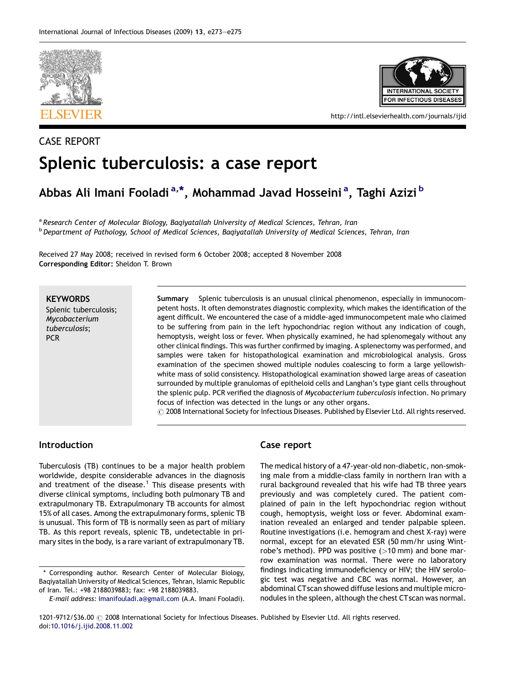

CASE REPORT



http://intl.elsevierhealth.com/journals/ijid

# Splenic tuberculosis: a case report

# Abbas Ali Imani Fooladi<sup>a,\*</sup>, Mohammad Javad Hosseini<sup>a</sup>, Taghi Azizi <sup>b</sup>

a Research Center of Molecular Biology, Baqiyatallah University of Medical Sciences, Tehran, Iran <sup>b</sup> Department of Pathology, School of Medical Sciences, Baqiyatallah University of Medical Sciences, Tehran, Iran

Received 27 May 2008; received in revised form 6 October 2008; accepted 8 November 2008 Corresponding Editor: Sheldon T. Brown

#### **KEYWORDS**

Splenic tuberculosis; Mycobacterium tuberculosis; PCR

Summary Splenic tuberculosis is an unusual clinical phenomenon, especially in immunocompetent hosts. It often demonstrates diagnostic complexity, which makes the identification of the agent difficult. We encountered the case of a middle-aged immunocompetent male who claimed to be suffering from pain in the left hypochondriac region without any indication of cough, hemoptysis, weight loss or fever. When physically examined, he had splenomegaly without any other clinical findings. This was further confirmed by imaging. A splenectomy was performed, and samples were taken for histopathological examination and microbiological analysis. Gross examination of the specimen showed multiple nodules coalescing to form a large yellowishwhite mass of solid consistency. Histopathological examination showed large areas of caseation surrounded by multiple granulomas of epitheloid cells and Langhan's type giant cells throughout the splenic pulp. PCR verified the diagnosis of Mycobacterium tuberculosis infection. No primary focus of infection was detected in the lungs or any other organs.  $\odot$  2008 International Society for Infectious Diseases. Published by Elsevier Ltd. All rights reserved.

### Introduction

Tuberculosis (TB) continues to be a major health problem worldwide, despite considerable advances in the diagnosis and treatment of the disease.<sup>[1](#page-2-0)</sup> This disease presents with diverse clinical symptoms, including both pulmonary TB and extrapulmonary TB. Extrapulmonary TB accounts for almost 15% of all cases. Among the extrapulmonary forms, splenic TB is unusual. This form of TB is normally seen as part of miliary TB. As this report reveals, splenic TB, undetectable in primary sites in the body, is a rare variant of extrapulmonary TB.

# Case report

The medical history of a 47-year-old non-diabetic, non-smoking male from a middle-class family in northern Iran with a rural background revealed that his wife had TB three years previously and was completely cured. The patient complained of pain in the left hypochondriac region without cough, hemoptysis, weight loss or fever. Abdominal examination revealed an enlarged and tender palpable spleen. Routine investigations (i.e. hemogram and chest X-ray) were normal, except for an elevated ESR (50 mm/hr using Wintrobe's method). PPD was positive  $(>10$  mm) and bone marrow examination was normal. There were no laboratory findings indicating immunodeficiency or HIV; the HIV serologic test was negative and CBC was normal. However, an abdominal CTscan showed diffuse lesions and multiple micronodules in the spleen, although the chest CTscan was normal.

<sup>\*</sup> Corresponding author. Research Center of Molecular Biology, Baqiyatallah University of Medical Sciences, Tehran, Islamic Republic of Iran. Tel.: +98 2188039883; fax: +98 2188039883.

E-mail address: [Imanifouladi.a@gmail.com](mailto:Imanifouladi.a@gmail.com) (A.A. Imani Fooladi).

<sup>1201-9712/\$36.00 @ 2008</sup> International Society for Infectious Diseases. Published by Elsevier Ltd. All rights reserved. doi[:10.1016/j.ijid.2008.11.002](http://dx.doi.org/10.1016/j.ijid.2008.11.002)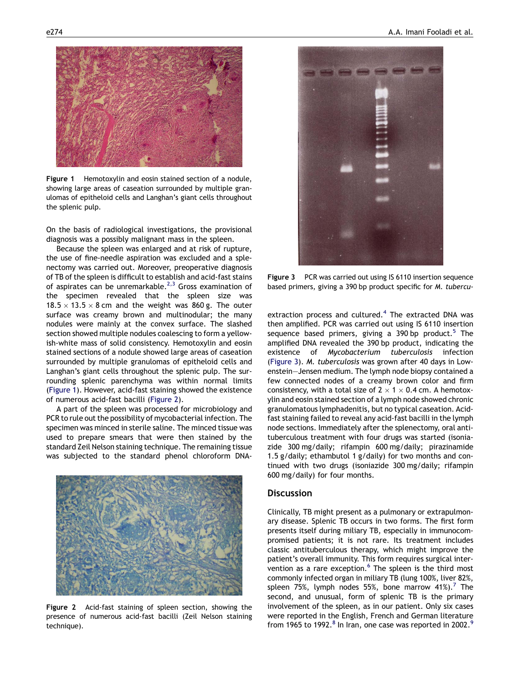

Figure 1 Hemotoxylin and eosin stained section of a nodule, showing large areas of caseation surrounded by multiple granulomas of epitheloid cells and Langhan's giant cells throughout the splenic pulp.

On the basis of radiological investigations, the provisional diagnosis was a possibly malignant mass in the spleen.

Because the spleen was enlarged and at risk of rupture, the use of fine-needle aspiration was excluded and a splenectomy was carried out. Moreover, preoperative diagnosis of TB of the spleen is difficult to establish and acid-fast stains of aspirates can be unremarkable.<sup>[2,3](#page-2-0)</sup> Gross examination of the specimen revealed that the spleen size was 18.5  $\times$  13.5  $\times$  8 cm and the weight was 860 g. The outer surface was creamy brown and multinodular; the many nodules were mainly at the convex surface. The slashed section showed multiple nodules coalescing to form a yellowish-white mass of solid consistency. Hemotoxylin and eosin stained sections of a nodule showed large areas of caseation surrounded by multiple granulomas of epitheloid cells and Langhan's giant cells throughout the splenic pulp. The surrounding splenic parenchyma was within normal limits (Figure 1). However, acid-fast staining showed the existence of numerous acid-fast bacilli (Figure 2).

A part of the spleen was processed for microbiology and PCR to rule out the possibility of mycobacterial infection. The specimen was minced in sterile saline. The minced tissue was used to prepare smears that were then stained by the standard Zeil Nelson staining technique. The remaining tissue was subjected to the standard phenol chloroform DNA-



Figure 2 Acid-fast staining of spleen section, showing the presence of numerous acid-fast bacilli (Zeil Nelson staining technique).



Figure 3 PCR was carried out using IS 6110 insertion sequence based primers, giving a 390 bp product specific for M. tubercu-

extraction process and cultured.<sup>[4](#page-2-0)</sup> The extracted DNA was then amplified. PCR was carried out using IS 6110 insertion sequence based primers, giving a 390 bp product.<sup>[5](#page-2-0)</sup> The amplified DNA revealed the 390 bp product, indicating the existence of Mycobacterium tuberculosis infection (Figure 3). M. tuberculosis was grown after 40 days in Lowenstein—Jensen medium. The lymph node biopsy contained a few connected nodes of a creamy brown color and firm consistency, with a total size of  $2 \times 1 \times 0.4$  cm. A hemotoxylin and eosin stained section of a lymph node showed chronic granulomatous lymphadenitis, but no typical caseation. Acidfast staining failed to reveal any acid-fast bacilli in the lymph node sections. Immediately after the splenectomy, oral antituberculous treatment with four drugs was started (isoniazide 300 mg/daily; rifampin 600 mg/daily; pirazinamide 1.5 g/daily; ethambutol 1 g/daily) for two months and continued with two drugs (isoniazide 300 mg/daily; rifampin 600 mg/daily) for four months.

#### **Discussion**

Clinically, TB might present as a pulmonary or extrapulmonary disease. Splenic TB occurs in two forms. The first form presents itself during miliary TB, especially in immunocompromised patients; it is not rare. Its treatment includes classic antituberculous therapy, which might improve the patient's overall immunity. This form requires surgical inter-vention as a rare exception.<sup>[6](#page-2-0)</sup> The spleen is the third most commonly infected organ in miliary TB (lung 100%, liver 82%, spleen [7](#page-2-0)5%, lymph nodes 55%, bone marrow  $41\%$ .<sup>7</sup> The second, and unusual, form of splenic TB is the primary involvement of the spleen, as in our patient. Only six cases were reported in the English, French and German literature from 1[9](#page-2-0)65 to 1992. $8$  In Iran, one case was reported in 2002.<sup>9</sup>